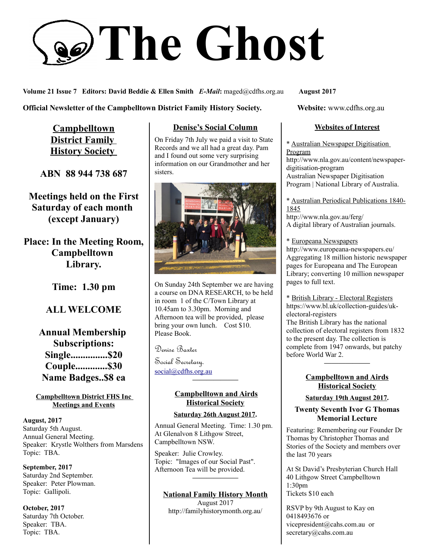# **The Ghost**

**Volume 21 Issue 7 Editors: David Beddie & Ellen Smith** *E-Mail***:** maged@cdfhs.org.au **August 2017**

**Official Newsletter of the Campbelltown District Family History Society. Website: www.cdfhs.org.au** 

**Campbelltown District Family History Society** 

**ABN 88 944 738 687**

**Meetings held on the First Saturday of each month (except January)**

**Place: In the Meeting Room, Campbelltown Library.**

**Time: 1.30 pm**

## **ALL WELCOME**

**Annual Membership Subscriptions: Single...............\$20 Couple.............\$30 Name Badges..\$8 ea**

**Campbelltown District FHS Inc Meetings and Events**

**August, 2017** Saturday 5th August. Annual General Meeting. Speaker: Krystle Wolthers from Marsdens Topic: TBA.

**September, 2017** Saturday 2nd September. Speaker: Peter Plowman. Topic: Gallipoli.

**October, 2017** Saturday 7th October. Speaker: TBA. Topic: TBA.

## **Denise's Social Column**

On Friday 7th July we paid a visit to State Records and we all had a great day. Pam and I found out some very surprising information on our Grandmother and her sisters.



On Sunday 24th September we are having a course on DNA RESEARCH, to be held in room 1 of the C/Town Library at 10.45am to 3.30pm. Morning and Afternoon tea will be provided, please bring your own lunch. Cost \$10. Please Book.

Denise Baxter

Social Secretary. [social@cdfhs.org.au](mailto:social@cdfhs.org.au)

## **Campbelltown and Airds Historical Society**

**——————–**

#### **Saturday 26th August 2017.**

Annual General Meeting. Time: 1.30 pm. At Glenalvon 8 Lithgow Street, Campbelltown NSW.

Speaker: Julie Crowley. Topic: "Images of our Social Past". Afternoon Tea will be provided.

#### **National Family History Month**

**——————–**

August 2017 http://familyhistorymonth.org.au/

#### **Websites of Interest**

\* Australian Newspaper Digitisation Program

http://www.nla.gov.au/content/newspaperdigitisation-program Australian Newspaper Digitisation Program | National Library of Australia.

\* Australian Periodical Publications 1840- 1845 http://www.nla.gov.au/ferg/ A digital library of Australian journals.

\* Europeana Newspapers http://www.europeana-newspapers.eu/ Aggregating 18 million historic newspaper pages for Europeana and The European Library; converting 10 million newspaper pages to full text.

\* British Library - Electoral Registers https://www.bl.uk/collection-guides/ukelectoral-registers

The British Library has the national collection of electoral registers from 1832 to the present day. The collection is complete from 1947 onwards, but patchy before World War 2.

#### **Campbelltown and Airds Historical Society**

**——————–**

#### **Saturday 19th August 2017.**

#### **Twenty Seventh Ivor G Thomas Memorial Lecture**

Featuring: Remembering our Founder Dr Thomas by Christopher Thomas and Stories of the Society and members over the last 70 years

At St David's Presbyterian Church Hall 40 Lithgow Street Campbelltown 1:30pm Tickets \$10 each

RSVP by 9th August to Kay on 0418493676 or vicepresident@cahs.com.au or secretary@cahs.com.au